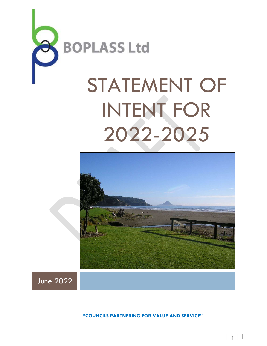

# STATEMENT OF INTENT FOR 2022-2025



June 2022

"COUNCILS PARTNERING FOR VALUE AND SERVICE"

1  $\Box$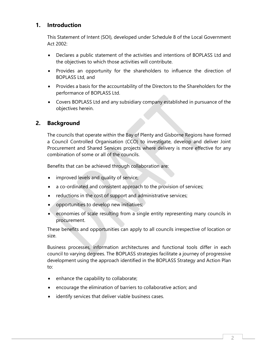#### 1. Introduction

This Statement of Intent (SOI), developed under Schedule 8 of the Local Government Act 2002:

- Declares a public statement of the activities and intentions of BOPLASS Ltd and the objectives to which those activities will contribute.
- Provides an opportunity for the shareholders to influence the direction of BOPLASS Ltd, and
- Provides a basis for the accountability of the Directors to the Shareholders for the performance of BOPLASS Ltd.
- Covers BOPLASS Ltd and any subsidiary company established in pursuance of the objectives herein.

#### 2. Background

The councils that operate within the Bay of Plenty and Gisborne Regions have formed a Council Controlled Organisation (CCO) to investigate, develop and deliver Joint Procurement and Shared Services projects where delivery is more effective for any combination of some or all of the councils.

Benefits that can be achieved through collaboration are:

- improved levels and quality of service;
- a co-ordinated and consistent approach to the provision of services;
- reductions in the cost of support and administrative services;
- **•** opportunities to develop new initiatives;
- economies of scale resulting from a single entity representing many councils in procurement.

These benefits and opportunities can apply to all councils irrespective of location or size.

Business processes, information architectures and functional tools differ in each council to varying degrees. The BOPLASS strategies facilitate a journey of progressive development using the approach identified in the BOPLASS Strategy and Action Plan to:

- enhance the capability to collaborate;
- encourage the elimination of barriers to collaborative action; and
- identify services that deliver viable business cases.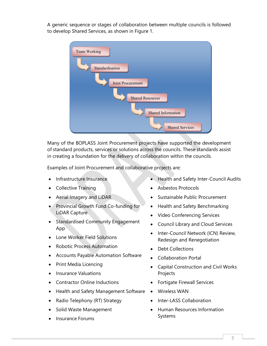A generic sequence or stages of collaboration between multiple councils is followed to develop Shared Services, as shown in Figure 1.



Many of the BOPLASS Joint Procurement projects have supported the development of standard products, services or solutions across the councils. These standards assist in creating a foundation for the delivery of collaboration within the councils.

Examples of Joint Procurement and collaborative projects are:

- Infrastructure Insurance
- Collective Training
- Aerial Imagery and LiDAR
- Provincial Growth Fund Co-funding for LiDAR Capture
- Standardised Community Engagement App
- Lone Worker Field Solutions
- Robotic Process Automation
- Accounts Payable Automation Software
- Print Media Licencing
- Insurance Valuations
- Contractor Online Inductions
- Health and Safety Management Software •
- Radio Telephony (RT) Strategy
- Solid Waste Management
- Insurance Forums
- Health and Safety Inter-Council Audits
- Asbestos Protocols
- Sustainable Public Procurement
- Health and Safety Benchmarking
- Video Conferencing Services
- Council Library and Cloud Services
- Inter-Council Network (ICN) Review, Redesign and Renegotiation
- Debt Collections
- Collaboration Portal
- Capital Construction and Civil Works Projects
- Fortigate Firewall Services
- Wireless WAN
- Inter-LASS Collaboration
- Human Resources Information Systems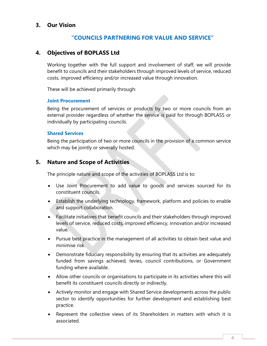#### 3. Our Vision

#### "COUNCILS PARTNERING FOR VALUE AND SERVICE"

#### 4. Objectives of BOPLASS Ltd

Working together with the full support and involvement of staff, we will provide benefit to councils and their stakeholders through improved levels of service, reduced costs, improved efficiency and/or increased value through innovation.

These will be achieved primarily through:

#### Joint Procurement

Being the procurement of services or products by two or more councils from an external provider regardless of whether the service is paid for through BOPLASS or individually by participating councils.

#### Shared Services

Being the participation of two or more councils in the provision of a common service which may be jointly or severally hosted.

#### 5. Nature and Scope of Activities

The principle nature and scope of the activities of BOPLASS Ltd is to:

- Use Joint Procurement to add value to goods and services sourced for its constituent councils.
- Establish the underlying technology, framework, platform and policies to enable and support collaboration.
- Facilitate initiatives that benefit councils and their stakeholders through improved levels of service, reduced costs, improved efficiency, innovation and/or increased value.
- Pursue best practice in the management of all activities to obtain best value and minimise risk.
- Demonstrate fiduciary responsibility by ensuring that its activities are adequately funded from savings achieved, levies, council contributions, or Government funding where available.
- Allow other councils or organisations to participate in its activities where this will benefit its constituent councils directly or indirectly.
- Actively monitor and engage with Shared Service developments across the public sector to identify opportunities for further development and establishing best practice.
- Represent the collective views of its Shareholders in matters with which it is associated.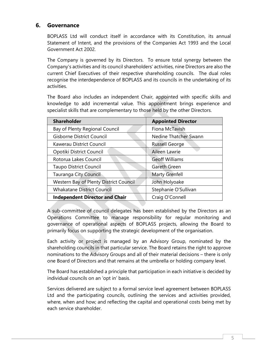#### 6. Governance

BOPLASS Ltd will conduct itself in accordance with its Constitution, its annual Statement of Intent, and the provisions of the Companies Act 1993 and the Local Government Act 2002.

The Company is governed by its Directors. To ensure total synergy between the Company's activities and its council shareholders' activities, nine Directors are also the current Chief Executives of their respective shareholding councils. The dual roles recognise the interdependence of BOPLASS and its councils in the undertaking of its activities.

The Board also includes an independent Chair, appointed with specific skills and knowledge to add incremental value. This appointment brings experience and specialist skills that are complementary to those held by the other Directors.

| <b>Shareholder</b>                     | <b>Appointed Director</b> |
|----------------------------------------|---------------------------|
| Bay of Plenty Regional Council         | Fiona McTavish            |
| Gisborne District Council              | Nedine Thatcher Swann     |
| Kawerau District Council               | <b>Russell George</b>     |
| Opotiki District Council               | Aileen Lawrie             |
| Rotorua Lakes Council                  | <b>Geoff Williams</b>     |
| <b>Taupo District Council</b>          | Gareth Green              |
| Tauranga City Council                  | Marty Grenfell            |
| Western Bay of Plenty District Council | John Holyoake             |
| <b>Whakatane District Council</b>      | Stephanie O'Sullivan      |
| <b>Independent Director and Chair</b>  | Craig O'Connell           |

A sub-committee of council delegates has been established by the Directors as an Operations Committee to manage responsibility for regular monitoring and governance of operational aspects of BOPLASS projects, allowing the Board to primarily focus on supporting the strategic development of the organisation.

Each activity or project is managed by an Advisory Group, nominated by the shareholding councils in that particular service. The Board retains the right to approve nominations to the Advisory Groups and all of their material decisions – there is only one Board of Directors and that remains at the umbrella or holding company level.

The Board has established a principle that participation in each initiative is decided by individual councils on an 'opt in' basis.

Services delivered are subject to a formal service level agreement between BOPLASS Ltd and the participating councils, outlining the services and activities provided, where, when and how; and reflecting the capital and operational costs being met by each service shareholder.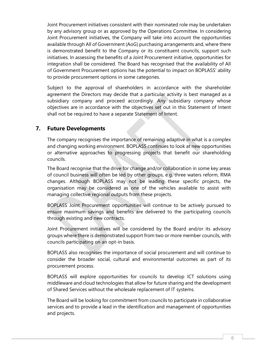Joint Procurement initiatives consistent with their nominated role may be undertaken by any advisory group or as approved by the Operations Committee. In considering Joint Procurement initiatives, the Company will take into account the opportunities available through All of Government (AoG) purchasing arrangements and, where there is demonstrated benefit to the Company or its constituent councils, support such initiatives. In assessing the benefits of a Joint Procurement initiative, opportunities for integration shall be considered. The Board has recognised that the availability of All of Government Procurement options has the potential to impact on BOPLASS' ability to provide procurement options in some categories.

Subject to the approval of shareholders in accordance with the shareholder agreement the Directors may decide that a particular activity is best managed as a subsidiary company and proceed accordingly. Any subsidiary company whose objectives are in accordance with the objectives set out in this Statement of Intent shall not be required to have a separate Statement of Intent.

#### 7. Future Developments

The company recognises the importance of remaining adaptive in what is a complex and changing working environment. BOPLASS continues to look at new opportunities or alternative approaches to progressing projects that benefit our shareholding councils.

The Board recognise that the drive for change and/or collaboration in some key areas of council business will often be led by other groups, e.g. three waters reform, RMA changes. Although BOPLASS may not be leading these specific projects, the organisation may be considered as one of the vehicles available to assist with managing collective regional outputs from these projects.

BOPLASS Joint Procurement opportunities will continue to be actively pursued to ensure maximum savings and benefits are delivered to the participating councils through existing and new contracts.

Joint Procurement initiatives will be considered by the Board and/or its advisory groups where there is demonstrated support from two or more member councils, with councils participating on an opt-in basis.

BOPLASS also recognises the importance of social procurement and will continue to consider the broader social, cultural and environmental outcomes as part of its procurement process.

BOPLASS will explore opportunities for councils to develop ICT solutions using middleware and cloud technologies that allow for future sharing and the development of Shared Services without the wholesale replacement of IT systems.

The Board will be looking for commitment from councils to participate in collaborative services and to provide a lead in the identification and management of opportunities and projects.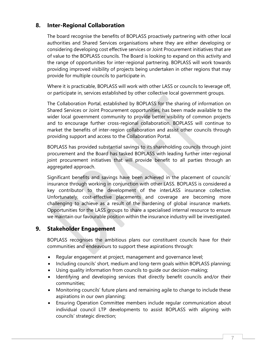#### 8. Inter-Regional Collaboration

The board recognise the benefits of BOPLASS proactively partnering with other local authorities and Shared Services organisations where they are either developing or considering developing cost effective services or Joint Procurement initiatives that are of value to the BOPLASS councils. The Board is looking to expand on this activity and the range of opportunities for inter-regional partnering. BOPLASS will work towards providing improved visibility of projects being undertaken in other regions that may provide for multiple councils to participate in.

Where it is practicable, BOPLASS will work with other LASS or councils to leverage off, or participate in, services established by other collective local government groups.

The Collaboration Portal, established by BOPLASS for the sharing of information on Shared Services or Joint Procurement opportunities, has been made available to the wider local government community to provide better visibility of common projects and to encourage further cross-regional collaboration. BOPLASS will continue to market the benefits of inter-region collaboration and assist other councils through providing support and access to the Collaboration Portal.

BOPLASS has provided substantial savings to its shareholding councils through joint procurement and the Board has tasked BOPLASS with leading further inter-regional joint procurement initiatives that will provide benefit to all parties through an aggregated approach.

Significant benefits and savings have been achieved in the placement of councils' insurance through working in conjunction with other LASS. BOPLASS is considered a key contributor to the development of the interLASS insurance collective. Unfortunately, cost-effective placements and coverage are becoming more challenging to achieve as a result of the hardening of global insurance markets. Opportunities for the LASS groups to share a specialised internal resource to ensure we maintain our favourable position within the insurance industry will be investigated.

#### 9. Stakeholder Engagement

BOPLASS recognises the ambitious plans our constituent councils have for their communities and endeavours to support these aspirations through:

- Regular engagement at project, management and governance level;
- Including councils' short, medium and long-term goals within BOPLASS planning;
- Using quality information from councils to guide our decision-making;
- Identifying and developing services that directly benefit councils and/or their communities;
- Monitoring councils' future plans and remaining agile to change to include these aspirations in our own planning;
- Ensuring Operation Committee members include regular communication about individual council LTP developments to assist BOPLASS with aligning with councils' strategic direction;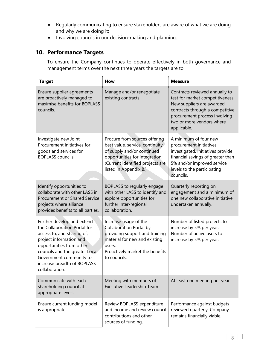- Regularly communicating to ensure stakeholders are aware of what we are doing and why we are doing it;
- Involving councils in our decision-making and planning.

#### 10. Performance Targets

To ensure the Company continues to operate effectively in both governance and management terms over the next three years the targets are to:

| <b>Target</b>                                                                                                                                                                                                                                                 | How                                                                                                                                                                                                                                                                                                          | <b>Measure</b>                                                                                                                                                                                                  |
|---------------------------------------------------------------------------------------------------------------------------------------------------------------------------------------------------------------------------------------------------------------|--------------------------------------------------------------------------------------------------------------------------------------------------------------------------------------------------------------------------------------------------------------------------------------------------------------|-----------------------------------------------------------------------------------------------------------------------------------------------------------------------------------------------------------------|
| Ensure supplier agreements<br>are proactively managed to<br>maximise benefits for BOPLASS<br>councils.                                                                                                                                                        | Manage and/or renegotiate<br>existing contracts.                                                                                                                                                                                                                                                             | Contracts reviewed annually to<br>test for market competitiveness.<br>New suppliers are awarded<br>contracts through a competitive<br>procurement process involving<br>two or more vendors where<br>applicable. |
| Investigate new Joint<br>Procurement initiatives for<br>goods and services for<br><b>BOPLASS</b> councils.                                                                                                                                                    | Procure from sources offering<br>best value, service, continuity<br>of supply and/or continued<br>opportunities for integration.<br>(Current identified projects are<br>listed in Appendix B.)                                                                                                               | A minimum of four new<br>procurement initiatives<br>investigated. Initiatives provide<br>financial savings of greater than<br>5% and/or improved service<br>levels to the participating<br>councils.            |
| Identify opportunities to<br>collaborate with other LASS in<br><b>Procurement or Shared Service</b><br>projects where alliance<br>provides benefits to all parties.                                                                                           | BOPLASS to regularly engage<br>with other LASS to identify and<br>explore opportunities for<br>further inter-regional<br>collaboration.                                                                                                                                                                      | Quarterly reporting on<br>engagement and a minimum of<br>one new collaborative initiative<br>undertaken annually.                                                                                               |
| Further develop and extend<br>the Collaboration Portal for<br>access to, and sharing of,<br>project information and<br>opportunities from other<br>councils and the greater Local<br>Government community to<br>increase breadth of BOPLASS<br>collaboration. | Increase usage of the<br>Number of listed projects to<br><b>Collaboration Portal by</b><br>increase by 5% per year.<br>Number of active users to<br>providing support and training<br>material for new and existing<br>increase by 5% per year.<br>users.<br>Proactively market the benefits<br>to councils. |                                                                                                                                                                                                                 |
| Communicate with each<br>shareholding council at<br>appropriate levels.                                                                                                                                                                                       | Meeting with members of<br>Executive Leadership Team.                                                                                                                                                                                                                                                        | At least one meeting per year.                                                                                                                                                                                  |
| Ensure current funding model<br>is appropriate.                                                                                                                                                                                                               | Review BOPLASS expenditure<br>and income and review council<br>contributions and other<br>sources of funding.                                                                                                                                                                                                | Performance against budgets<br>reviewed quarterly. Company<br>remains financially viable.                                                                                                                       |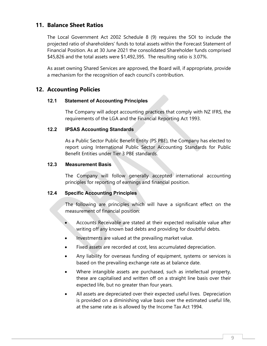#### 11. Balance Sheet Ratios

The Local Government Act 2002 Schedule 8 (9) requires the SOI to include the projected ratio of shareholders' funds to total assets within the Forecast Statement of Financial Position. As at 30 June 2021 the consolidated Shareholder funds comprised \$45,826 and the total assets were \$1,492,395. The resulting ratio is 3.07%.

As asset owning Shared Services are approved, the Board will, if appropriate, provide a mechanism for the recognition of each council's contribution.

#### 12. Accounting Policies

#### 12.1 Statement of Accounting Principles

The Company will adopt accounting practices that comply with NZ IFRS, the requirements of the LGA and the Financial Reporting Act 1993.

#### 12.2 IPSAS Accounting Standards

As a Public Sector Public Benefit Entity (PS PBE), the Company has elected to report using International Public Sector Accounting Standards for Public Benefit Entities under Tier 3 PBE standards.

#### 12.3 Measurement Basis

The Company will follow generally accepted international accounting principles for reporting of earnings and financial position.

#### 12.4 Specific Accounting Principles

The following are principles which will have a significant effect on the measurement of financial position:

- Accounts Receivable are stated at their expected realisable value after writing off any known bad debts and providing for doubtful debts.
- Investments are valued at the prevailing market value.
- Fixed assets are recorded at cost, less accumulated depreciation.
- Any liability for overseas funding of equipment, systems or services is based on the prevailing exchange rate as at balance date.
- Where intangible assets are purchased, such as intellectual property, these are capitalised and written off on a straight line basis over their expected life, but no greater than four years.
- All assets are depreciated over their expected useful lives. Depreciation is provided on a diminishing value basis over the estimated useful life, at the same rate as is allowed by the Income Tax Act 1994.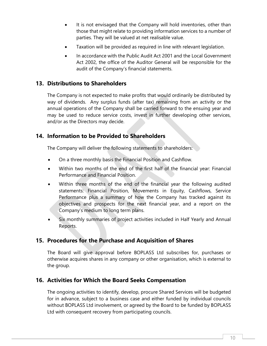- It is not envisaged that the Company will hold inventories, other than those that might relate to providing information services to a number of parties. They will be valued at net realisable value.
- Taxation will be provided as required in line with relevant legislation.
- In accordance with the Public Audit Act 2001 and the Local Government Act 2002, the office of the Auditor General will be responsible for the audit of the Company's financial statements.

#### 13. Distributions to Shareholders

The Company is not expected to make profits that would ordinarily be distributed by way of dividends. Any surplus funds (after tax) remaining from an activity or the annual operations of the Company shall be carried forward to the ensuing year and may be used to reduce service costs, invest in further developing other services, and/or as the Directors may decide.

#### 14. Information to be Provided to Shareholders

The Company will deliver the following statements to shareholders:

- On a three monthly basis the Financial Position and Cashflow.
- Within two months of the end of the first half of the financial year: Financial Performance and Financial Position.
- Within three months of the end of the financial year the following audited statements: Financial Position, Movements in Equity, Cashflows, Service Performance plus a summary of how the Company has tracked against its objectives and prospects for the next financial year, and a report on the Company's medium to long term plans.
- Six monthly summaries of project activities included in Half Yearly and Annual Reports.

#### 15. Procedures for the Purchase and Acquisition of Shares

The Board will give approval before BOPLASS Ltd subscribes for, purchases or otherwise acquires shares in any company or other organisation, which is external to the group.

#### 16. Activities for Which the Board Seeks Compensation

The ongoing activities to identify, develop, procure Shared Services will be budgeted for in advance, subject to a business case and either funded by individual councils without BOPLASS Ltd involvement, or agreed by the Board to be funded by BOPLASS Ltd with consequent recovery from participating councils.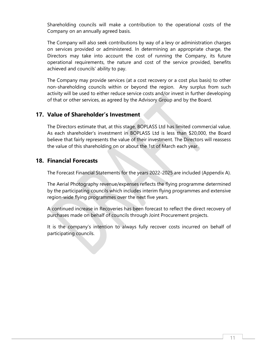Shareholding councils will make a contribution to the operational costs of the Company on an annually agreed basis.

The Company will also seek contributions by way of a levy or administration charges on services provided or administered. In determining an appropriate charge, the Directors may take into account the cost of running the Company, its future operational requirements, the nature and cost of the service provided, benefits achieved and councils' ability to pay.

The Company may provide services (at a cost recovery or a cost plus basis) to other non-shareholding councils within or beyond the region. Any surplus from such activity will be used to either reduce service costs and/or invest in further developing of that or other services, as agreed by the Advisory Group and by the Board.

#### 17. Value of Shareholder's Investment

The Directors estimate that, at this stage, BOPLASS Ltd has limited commercial value. As each shareholder's investment in BOPLASS Ltd is less than \$20,000, the Board believe that fairly represents the value of their investment. The Directors will reassess the value of this shareholding on or about the 1st of March each year.

#### 18. Financial Forecasts

The Forecast Financial Statements for the years 2022-2025 are included (Appendix A).

The Aerial Photography revenue/expenses reflects the flying programme determined by the participating councils which includes interim flying programmes and extensive region-wide flying programmes over the next five years.

A continued increase in Recoveries has been forecast to reflect the direct recovery of purchases made on behalf of councils through Joint Procurement projects.

It is the company's intention to always fully recover costs incurred on behalf of participating councils.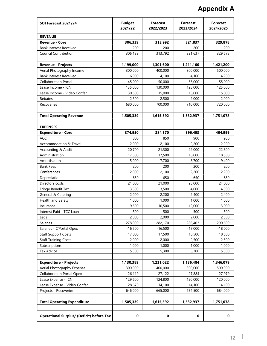# Appendix A

| SOI Forecast 2021/24                             | <b>Budget</b><br>2021/22 | <b>Forecast</b><br>2022/2023 | <b>Forecast</b><br>2023/2024 | <b>Forecast</b><br>2024/2025 |
|--------------------------------------------------|--------------------------|------------------------------|------------------------------|------------------------------|
| <b>REVENUE</b>                                   |                          |                              |                              |                              |
| <b>Revenue - Core</b>                            | 306,339                  | 313,992                      | 321,837                      | 329,878                      |
| <b>Bank Interest Received</b>                    | 200                      | 200                          | 200                          | 200                          |
| Council Contribution                             | 306,139                  | 313,792                      | 321,637                      | 329,678                      |
|                                                  |                          |                              |                              |                              |
| <b>Revenue - Projects</b>                        | 1,199,000                | 1,301,600                    | 1,211,100                    | 1,421,200                    |
| Aerial Photography Income                        | 300,000                  | 400,000                      | 300,000                      | 500,000                      |
| <b>Bank Interest Received</b>                    | 6,000                    | 4,100                        | 4,100                        | 4,200                        |
| <b>Collaboration Portal</b>                      | 45,000                   | 50,000                       | 55,000                       | 55,000                       |
| Lease Income - ICN                               | 135,000                  | 130,000                      | 125,000                      | 125,000                      |
| Lease Income - Video Confer.                     | 30,500                   | 15,000                       | 15,000                       | 15,000                       |
| Rebates                                          | 2,500                    | 2,500                        | 2,000                        | 2,000                        |
| Recoveries                                       | 680,000                  | 700,000                      | 710,000                      | 720,000                      |
| <b>Total Operating Revenue</b>                   | 1,505,339                | 1,615,592                    | 1,532,937                    | 1,751,078                    |
| <b>EXPENSES</b>                                  |                          |                              |                              |                              |
| <b>Expenditure - Core</b>                        | 374,950                  | 384,570                      | 396,453                      | 404,999                      |
| ACC                                              | 800                      | 850                          | 900                          | 950                          |
| Accommodation & Travel                           | 2,000                    | 2,100                        | 2,200                        | 2,200                        |
| Accounting & Audit                               | 20,700                   | 21,300                       | 22,000                       | 22,800                       |
| Administration                                   | 17,300                   | 17,500                       | 18,000                       | 18,500                       |
| Amortisation                                     | 5,000                    | 7,700                        | 8,700                        | 9,400                        |
| <b>Bank Fees</b>                                 | 200                      | 200                          | 200                          | 200                          |
| Conferences                                      | 2,000                    | 2,100                        | 2,200                        | 2,200                        |
| Depreciation                                     | 650                      | 650                          | 650                          | 650                          |
| Directors costs                                  | 21,000                   | 21,000                       | 23,000                       | 24,000                       |
| Fringe Benefit Tax                               | 3,500                    | 3,500                        | 4,000                        | 4,500                        |
| General & Catering                               | 2,000                    | 2,200                        | 2,400                        | 2,400                        |
| Health and Safety                                | 1,000                    | 1,000                        | 1,000                        | 1,000                        |
| Insurance                                        | 9,500                    | 10,500                       | 12,000                       | 13,000                       |
| Interest Paid - TCC Loan                         | 500                      | 500                          | 500                          | 500                          |
| Legal                                            | 2,000                    | 2,000                        | 2,000                        | 2,500                        |
| Salaries                                         | 278,000                  | 282,170                      | 286,403                      | 290,699                      |
| Salaries - C'Portal Opex                         | $-16,500$                | $-16,500$                    | $-17,000$                    | $-18,000$                    |
| <b>Staff Support Costs</b>                       | 17,000                   | 17,500                       | 18,500                       | 18,500                       |
| <b>Staff Training Costs</b>                      | 2,000                    | 2,000                        | 2,500                        | 2,500                        |
| Subscriptions                                    | 1,000                    | 1,000                        | 1,000                        | 1,000                        |
| Tax Advice                                       | 5,300                    | 5,300                        | 5,300                        | 5,500                        |
| <b>Expenditure - Projects</b>                    | 1,130,389                | 1,231,022                    | 1,136,484                    | 1,346,079                    |
| Aerial Photography Expense                       | 300,000                  | 400,000                      | 300,000                      | 500,000                      |
| <b>Collaboration Portal Opex</b>                 | 26,119                   | 27,122                       | 27,884                       | 27,979                       |
| Lease Expense - ICN                              | 129,600                  | 124,800                      | 120,000                      | 120,000                      |
| Lease Expense - Video Confer.                    | 28,670                   | 14,100                       | 14,100                       | 14,100                       |
| Projects - Recoveries                            | 646,000                  | 665,000                      | 674,500                      | 684,000                      |
| <b>Total Operating Expenditure</b>               | 1,505,339                | 1,615,592                    | 1,532,937                    | 1,751,078                    |
|                                                  |                          |                              |                              |                              |
| <b>Operational Surplus/ (Deficit) before Tax</b> | $\pmb{0}$                | $\pmb{0}$                    | $\mathbf 0$                  | $\mathbf 0$                  |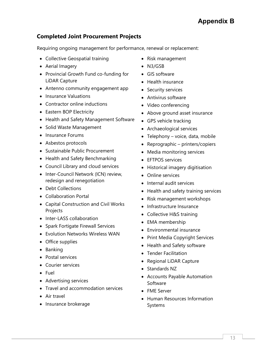# Appendix B

### Completed Joint Procurement Projects

Requiring ongoing management for performance, renewal or replacement:

- Collective Geospatial training
- Aerial Imagery
- Provincial Growth Fund co-funding for LiDAR Capture
- Antenno community engagement app
- Insurance Valuations
- Contractor online inductions
- Eastern BOP Electricity
- Health and Safety Management Software
- Solid Waste Management
- Insurance Forums
- Asbestos protocols
- Sustainable Public Procurement
- Health and Safety Benchmarking
- Council Library and cloud services
- Inter-Council Network (ICN) review, redesign and renegotiation
- Debt Collections
- Collaboration Portal
- Capital Construction and Civil Works Projects
- Inter-LASS collaboration
- Spark Fortigate Firewall Services
- Evolution Networks Wireless WAN
- Office supplies
- Banking
- Postal services
- Courier services
- Fuel
- Advertising services
- Travel and accommodation services
- Air travel
- Insurance brokerage
- Risk management
- N3/GSB
- GIS software
- Health insurance
- Security services
- Antivirus software
- Video conferencing
- Above ground asset insurance
- GPS vehicle tracking
- Archaeological services
- Telephony voice, data, mobile
- Reprographic printers/copiers
- Media monitoring services
- EFTPOS services
- Historical imagery digitisation
- Online services
- Internal audit services
- Health and safety training services
- Risk management workshops
- Infrastructure Insurance
- Collective H&S training
- EMA membership
- Environmental insurance
- Print Media Copyright Services
- Health and Safety software
- Tender Facilitation
- Regional LiDAR Capture
- Standards NZ
- Accounts Payable Automation Software
- FME Server
- Human Resources Information Systems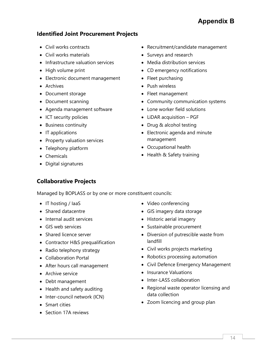# Appendix B

#### Identified Joint Procurement Projects

- Civil works contracts
- Civil works materials
- Infrastructure valuation services
- High volume print
- Electronic document management
- Archives
- Document storage
- Document scanning
- Agenda management software
- ICT security policies
- Business continuity
- $\bullet$  IT applications
- Property valuation services
- Telephony platform
- Chemicals
- Digital signatures

#### • Recruitment/candidate management

- Surveys and research
- Media distribution services
- CD emergency notifications
- Fleet purchasing
- Push wireless
- Fleet management
- Community communication systems
- Lone worker field solutions
- LiDAR acquisition PGF
- Drug & alcohol testing
- Electronic agenda and minute management
- Occupational health
- Health & Safety training

## Collaborative Projects

Managed by BOPLASS or by one or more constituent councils:

- $\bullet$  IT hosting / laaS
- Shared datacentre
- Internal audit services
- GIS web services
- Shared licence server
- Contractor H&S prequalification
- Radio telephony strategy
- Collaboration Portal
- After hours call management
- Archive service
- Debt management
- Health and safety auditing
- Inter-council network (ICN)
- Smart cities
- Section 17A reviews
- Video conferencing
- GIS imagery data storage
- Historic aerial imagery
- Sustainable procurement
- Diversion of putrescible waste from landfill
- Civil works projects marketing
- Robotics processing automation
- Civil Defence Emergency Management
- Insurance Valuations
- Inter-LASS collaboration
- Regional waste operator licensing and data collection
- Zoom licencing and group plan